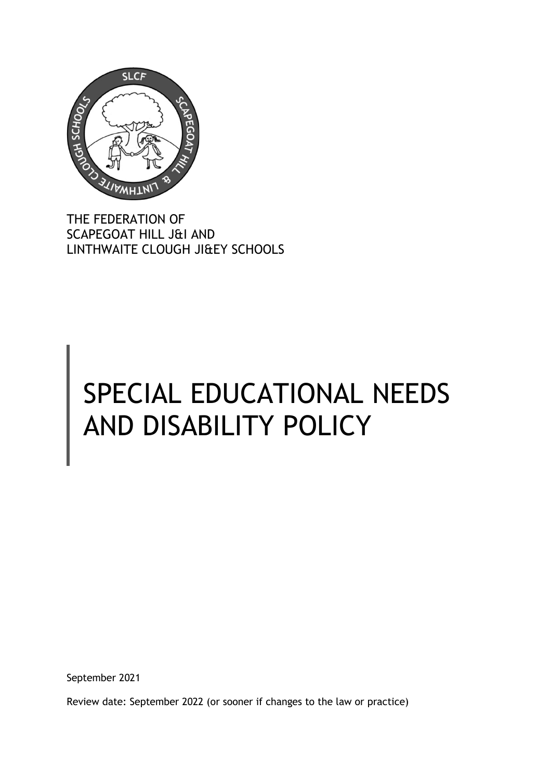

THE FEDERATION OF SCAPEGOAT HILL J&I AND LINTHWAITE CLOUGH JI&EY SCHOOLS

# SPECIAL EDUCATIONAL NEEDS AND DISABILITY POLICY

September 2021

Review date: September 2022 (or sooner if changes to the law or practice)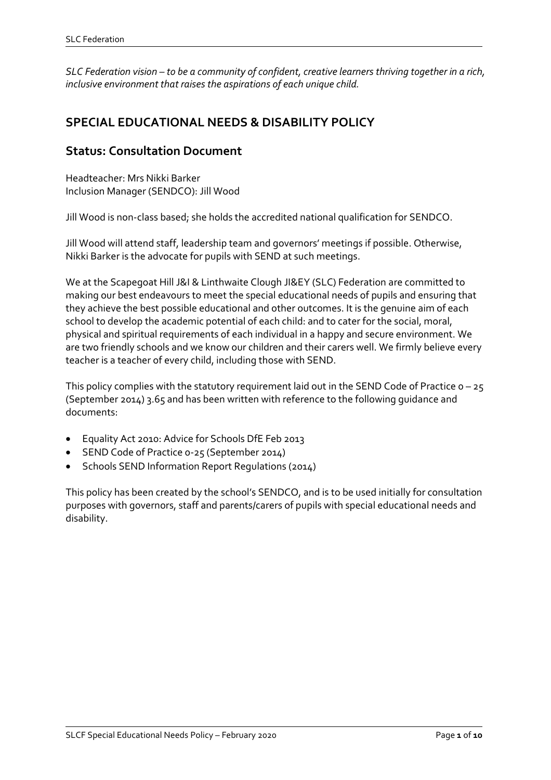*SLC Federation vision – to be a community of confident, creative learners thriving together in a rich, inclusive environment that raises the aspirations of each unique child.*

# **SPECIAL EDUCATIONAL NEEDS & DISABILITY POLICY**

## **Status: Consultation Document**

Headteacher: Mrs Nikki Barker Inclusion Manager (SENDCO): Jill Wood

Jill Wood is non-class based; she holds the accredited national qualification for SENDCO.

Jill Wood will attend staff, leadership team and governors' meetings if possible. Otherwise, Nikki Barker is the advocate for pupils with SEND at such meetings.

We at the Scapegoat Hill J&I & Linthwaite Clough JI&EY (SLC) Federation are committed to making our best endeavours to meet the special educational needs of pupils and ensuring that they achieve the best possible educational and other outcomes. It is the genuine aim of each school to develop the academic potential of each child: and to cater for the social, moral, physical and spiritual requirements of each individual in a happy and secure environment. We are two friendly schools and we know our children and their carers well. We firmly believe every teacher is a teacher of every child, including those with SEND.

This policy complies with the statutory requirement laid out in the SEND Code of Practice  $o - 25$ (September 2014) 3.65 and has been written with reference to the following guidance and documents:

- Equality Act 2010: Advice for Schools DfE Feb 2013
- SEND Code of Practice 0-25 (September 2014)
- Schools SEND Information Report Regulations (2014)

This policy has been created by the school's SENDCO, and is to be used initially for consultation purposes with governors, staff and parents/carers of pupils with special educational needs and disability.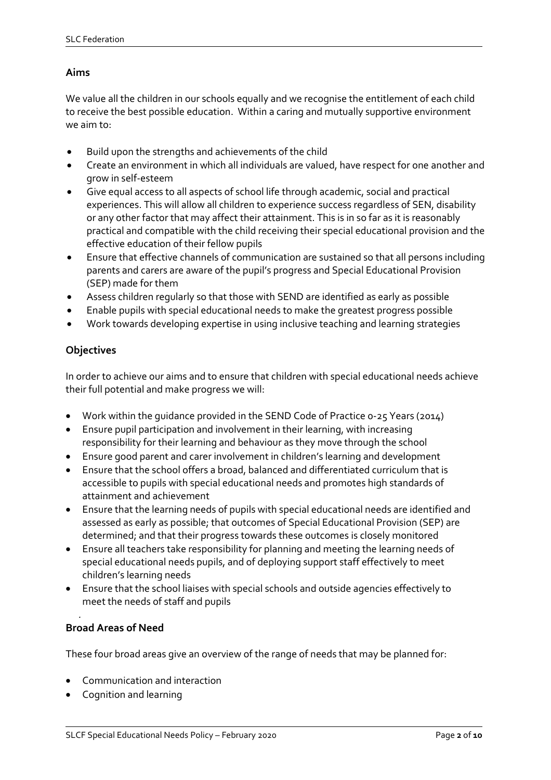## **Aims**

We value all the children in our schools equally and we recognise the entitlement of each child to receive the best possible education. Within a caring and mutually supportive environment we aim to:

- Build upon the strengths and achievements of the child
- Create an environment in which all individuals are valued, have respect for one another and grow in self-esteem
- Give equal access to all aspects of school life through academic, social and practical experiences. This will allow all children to experience success regardless of SEN, disability or any other factor that may affect their attainment. This is in so far as it is reasonably practical and compatible with the child receiving their special educational provision and the effective education of their fellow pupils
- Ensure that effective channels of communication are sustained so that all persons including parents and carers are aware of the pupil's progress and Special Educational Provision (SEP) made for them
- Assess children regularly so that those with SEND are identified as early as possible
- Enable pupils with special educational needs to make the greatest progress possible
- Work towards developing expertise in using inclusive teaching and learning strategies

## **Objectives**

In order to achieve our aims and to ensure that children with special educational needs achieve their full potential and make progress we will:

- Work within the guidance provided in the SEND Code of Practice 0-25 Years (2014)
- Ensure pupil participation and involvement in their learning, with increasing responsibility for their learning and behaviour as they move through the school
- Ensure good parent and carer involvement in children's learning and development
- Ensure that the school offers a broad, balanced and differentiated curriculum that is accessible to pupils with special educational needs and promotes high standards of attainment and achievement
- Ensure that the learning needs of pupils with special educational needs are identified and assessed as early as possible; that outcomes of Special Educational Provision (SEP) are determined; and that their progress towards these outcomes is closely monitored
- Ensure all teachers take responsibility for planning and meeting the learning needs of special educational needs pupils, and of deploying support staff effectively to meet children's learning needs
- Ensure that the school liaises with special schools and outside agencies effectively to meet the needs of staff and pupils

#### *.*  **Broad Areas of Need**

These four broad areas give an overview of the range of needs that may be planned for:

- Communication and interaction
- Cognition and learning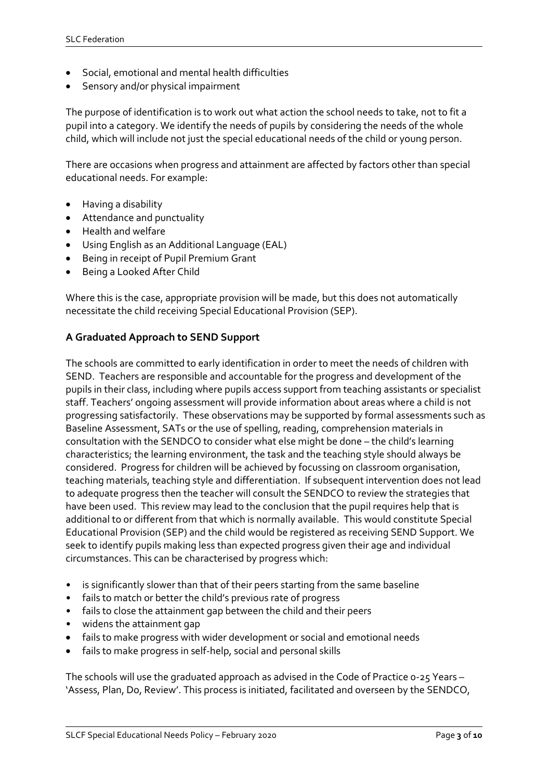- Social, emotional and mental health difficulties
- Sensory and/or physical impairment

The purpose of identification is to work out what action the school needs to take, not to fit a pupil into a category. We identify the needs of pupils by considering the needs of the whole child, which will include not just the special educational needs of the child or young person.

There are occasions when progress and attainment are affected by factors other than special educational needs. For example:

- Having a disability
- Attendance and punctuality
- Health and welfare
- Using English as an Additional Language (EAL)
- Being in receipt of Pupil Premium Grant
- Being a Looked After Child

Where this is the case, appropriate provision will be made, but this does not automatically necessitate the child receiving Special Educational Provision (SEP).

#### **A Graduated Approach to SEND Support**

The schools are committed to early identification in order to meet the needs of children with SEND. Teachers are responsible and accountable for the progress and development of the pupils in their class, including where pupils access support from teaching assistants or specialist staff. Teachers' ongoing assessment will provide information about areas where a child is not progressing satisfactorily. These observations may be supported by formal assessments such as Baseline Assessment, SATs or the use of spelling, reading, comprehension materials in consultation with the SENDCO to consider what else might be done – the child's learning characteristics; the learning environment, the task and the teaching style should always be considered. Progress for children will be achieved by focussing on classroom organisation, teaching materials, teaching style and differentiation. If subsequent intervention does not lead to adequate progress then the teacher will consult the SENDCO to review the strategies that have been used. This review may lead to the conclusion that the pupil requires help that is additional to or different from that which is normally available. This would constitute Special Educational Provision (SEP) and the child would be registered as receiving SEND Support. We seek to identify pupils making less than expected progress given their age and individual circumstances. This can be characterised by progress which:

- is significantly slower than that of their peers starting from the same baseline
- fails to match or better the child's previous rate of progress
- fails to close the attainment gap between the child and their peers
- widens the attainment gap
- fails to make progress with wider development or social and emotional needs
- fails to make progress in self-help, social and personal skills

The schools will use the graduated approach as advised in the Code of Practice 0-25 Years – 'Assess, Plan, Do, Review'. This process is initiated, facilitated and overseen by the SENDCO,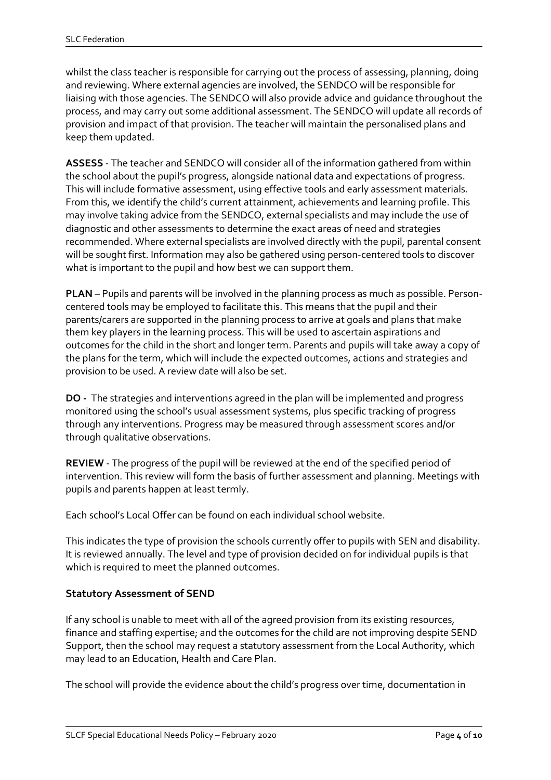whilst the class teacher is responsible for carrying out the process of assessing, planning, doing and reviewing. Where external agencies are involved, the SENDCO will be responsible for liaising with those agencies. The SENDCO will also provide advice and guidance throughout the process, and may carry out some additional assessment. The SENDCO will update all records of provision and impact of that provision. The teacher will maintain the personalised plans and keep them updated.

**ASSESS** - The teacher and SENDCO will consider all of the information gathered from within the school about the pupil's progress, alongside national data and expectations of progress. This will include formative assessment, using effective tools and early assessment materials. From this, we identify the child's current attainment, achievements and learning profile. This may involve taking advice from the SENDCO, external specialists and may include the use of diagnostic and other assessments to determine the exact areas of need and strategies recommended. Where external specialists are involved directly with the pupil, parental consent will be sought first. Information may also be gathered using person-centered tools to discover what is important to the pupil and how best we can support them.

**PLAN** – Pupils and parents will be involved in the planning process as much as possible. Personcentered tools may be employed to facilitate this. This means that the pupil and their parents/carers are supported in the planning process to arrive at goals and plans that make them key players in the learning process. This will be used to ascertain aspirations and outcomes for the child in the short and longer term. Parents and pupils will take away a copy of the plans for the term, which will include the expected outcomes, actions and strategies and provision to be used. A review date will also be set.

**DO -** The strategies and interventions agreed in the plan will be implemented and progress monitored using the school's usual assessment systems, plus specific tracking of progress through any interventions. Progress may be measured through assessment scores and/or through qualitative observations.

**REVIEW** - The progress of the pupil will be reviewed at the end of the specified period of intervention. This review will form the basis of further assessment and planning. Meetings with pupils and parents happen at least termly.

Each school's Local Offer can be found on each individual school website.

This indicates the type of provision the schools currently offer to pupils with SEN and disability. It is reviewed annually. The level and type of provision decided on for individual pupils is that which is required to meet the planned outcomes.

## **Statutory Assessment of SEND**

If any school is unable to meet with all of the agreed provision from its existing resources, finance and staffing expertise; and the outcomes for the child are not improving despite SEND Support, then the school may request a statutory assessment from the Local Authority, which may lead to an Education, Health and Care Plan.

The school will provide the evidence about the child's progress over time, documentation in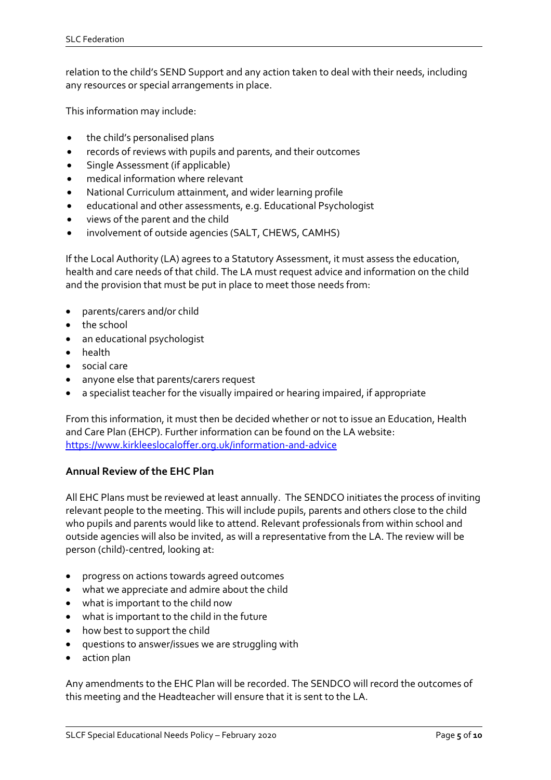relation to the child's SEND Support and any action taken to deal with their needs, including any resources or special arrangements in place.

This information may include:

- the child's personalised plans
- records of reviews with pupils and parents, and their outcomes
- Single Assessment (if applicable)
- medical information where relevant
- National Curriculum attainment, and wider learning profile
- educational and other assessments, e.g. Educational Psychologist
- views of the parent and the child
- involvement of outside agencies (SALT, CHEWS, CAMHS)

If the Local Authority (LA) agrees to a Statutory Assessment, it must assess the education, health and care needs of that child. The LA must request advice and information on the child and the provision that must be put in place to meet those needs from:

- parents/carers and/or child
- the school
- an educational psychologist
- health
- social care
- anyone else that parents/carers request
- a specialist teacher for the visually impaired or hearing impaired, if appropriate

From this information, it must then be decided whether or not to issue an Education, Health and Care Plan (EHCP). Further information can be found on the LA website: [https://www.kirkleeslocaloffer.org.uk/information-and-advice](https://www.kirkleeslocaloffer.org.uk/information-and-advice/)

## **Annual Review of the EHC Plan**

All EHC Plans must be reviewed at least annually. The SENDCO initiates the process of inviting relevant people to the meeting. This will include pupils, parents and others close to the child who pupils and parents would like to attend. Relevant professionals from within school and outside agencies will also be invited, as will a representative from the LA. The review will be person (child)-centred, looking at:

- progress on actions towards agreed outcomes
- what we appreciate and admire about the child
- what is important to the child now
- what is important to the child in the future
- how best to support the child
- questions to answer/issues we are struggling with
- action plan

Any amendments to the EHC Plan will be recorded. The SENDCO will record the outcomes of this meeting and the Headteacher will ensure that it is sent to the LA.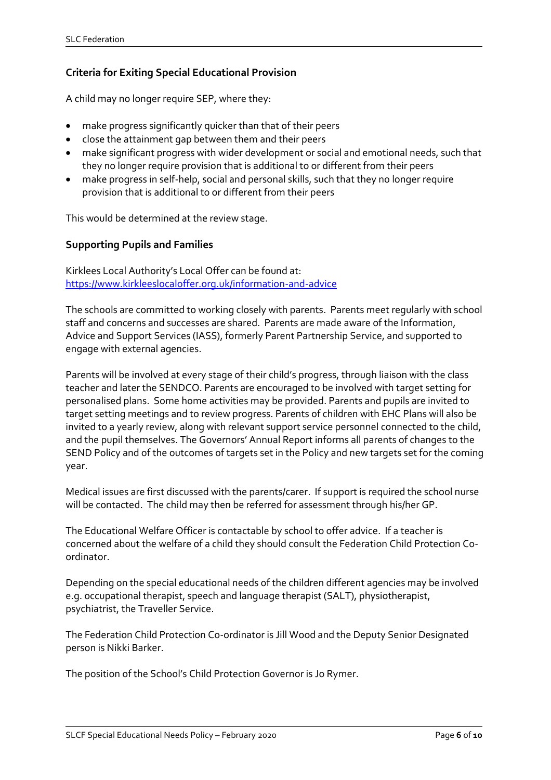## **Criteria for Exiting Special Educational Provision**

A child may no longer require SEP, where they:

- make progress significantly quicker than that of their peers
- close the attainment gap between them and their peers
- make significant progress with wider development or social and emotional needs, such that they no longer require provision that is additional to or different from their peers
- make progress in self-help, social and personal skills, such that they no longer require provision that is additional to or different from their peers

This would be determined at the review stage.

#### **Supporting Pupils and Families**

Kirklees Local Authority's Local Offer can be found at: [https://www.kirkleeslocaloffer.org.uk/information-and-advice](https://www.kirkleeslocaloffer.org.uk/information-and-advice/)

The schools are committed to working closely with parents. Parents meet regularly with school staff and concerns and successes are shared. Parents are made aware of the Information, Advice and Support Services (IASS), formerly Parent Partnership Service, and supported to engage with external agencies.

Parents will be involved at every stage of their child's progress, through liaison with the class teacher and later the SENDCO. Parents are encouraged to be involved with target setting for personalised plans. Some home activities may be provided. Parents and pupils are invited to target setting meetings and to review progress. Parents of children with EHC Plans will also be invited to a yearly review, along with relevant support service personnel connected to the child, and the pupil themselves. The Governors' Annual Report informs all parents of changes to the SEND Policy and of the outcomes of targets set in the Policy and new targets set for the coming year.

Medical issues are first discussed with the parents/carer. If support is required the school nurse will be contacted. The child may then be referred for assessment through his/her GP.

The Educational Welfare Officer is contactable by school to offer advice. If a teacher is concerned about the welfare of a child they should consult the Federation Child Protection Coordinator.

Depending on the special educational needs of the children different agencies may be involved e.g. occupational therapist, speech and language therapist (SALT), physiotherapist, psychiatrist, the Traveller Service.

The Federation Child Protection Co-ordinator is Jill Wood and the Deputy Senior Designated person is Nikki Barker.

The position of the School's Child Protection Governor is Jo Rymer.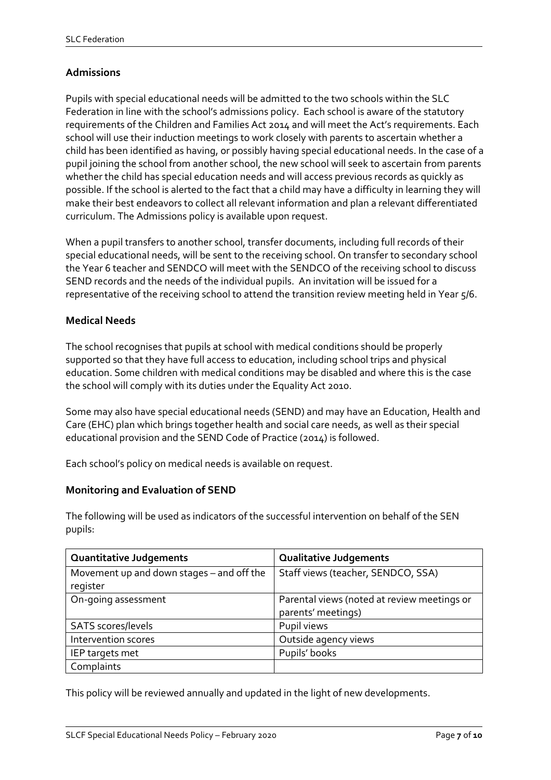## **Admissions**

Pupils with special educational needs will be admitted to the two schools within the SLC Federation in line with the school's admissions policy. Each school is aware of the statutory requirements of the Children and Families Act 2014 and will meet the Act's requirements. Each school will use their induction meetings to work closely with parents to ascertain whether a child has been identified as having, or possibly having special educational needs. In the case of a pupil joining the school from another school, the new school will seek to ascertain from parents whether the child has special education needs and will access previous records as quickly as possible. If the school is alerted to the fact that a child may have a difficulty in learning they will make their best endeavors to collect all relevant information and plan a relevant differentiated curriculum. The Admissions policy is available upon request.

When a pupil transfers to another school, transfer documents, including full records of their special educational needs, will be sent to the receiving school. On transfer to secondary school the Year 6 teacher and SENDCO will meet with the SENDCO of the receiving school to discuss SEND records and the needs of the individual pupils. An invitation will be issued for a representative of the receiving school to attend the transition review meeting held in Year 5/6.

#### **Medical Needs**

The school recognises that pupils at school with medical conditions should be properly supported so that they have full access to education, including school trips and physical education. Some children with medical conditions may be disabled and where this is the case the school will comply with its duties under the Equality Act 2010.

Some may also have special educational needs (SEND) and may have an Education, Health and Care (EHC) plan which brings together health and social care needs, as well as their special educational provision and the SEND Code of Practice (2014) is followed.

Each school's policy on medical needs is available on request.

#### **Monitoring and Evaluation of SEND**

The following will be used as indicators of the successful intervention on behalf of the SEN pupils:

| <b>Quantitative Judgements</b>                        | <b>Qualitative Judgements</b>                                     |
|-------------------------------------------------------|-------------------------------------------------------------------|
| Movement up and down stages - and off the<br>register | Staff views (teacher, SENDCO, SSA)                                |
| On-going assessment                                   | Parental views (noted at review meetings or<br>parents' meetings) |
| SATS scores/levels                                    | Pupil views                                                       |
| Intervention scores                                   | Outside agency views                                              |
| IEP targets met                                       | Pupils' books                                                     |
| Complaints                                            |                                                                   |

This policy will be reviewed annually and updated in the light of new developments.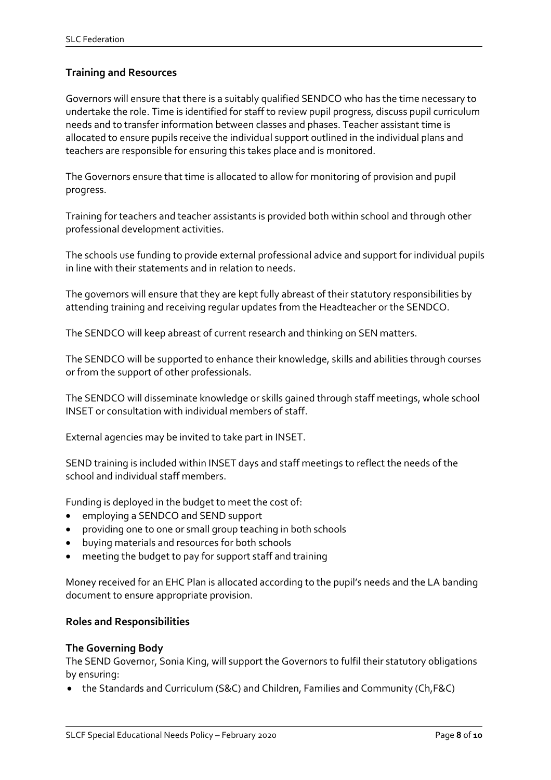## **Training and Resources**

Governors will ensure that there is a suitably qualified SENDCO who has the time necessary to undertake the role. Time is identified for staff to review pupil progress, discuss pupil curriculum needs and to transfer information between classes and phases. Teacher assistant time is allocated to ensure pupils receive the individual support outlined in the individual plans and teachers are responsible for ensuring this takes place and is monitored.

The Governors ensure that time is allocated to allow for monitoring of provision and pupil progress.

Training for teachers and teacher assistants is provided both within school and through other professional development activities.

The schools use funding to provide external professional advice and support for individual pupils in line with their statements and in relation to needs.

The governors will ensure that they are kept fully abreast of their statutory responsibilities by attending training and receiving regular updates from the Headteacher or the SENDCO.

The SENDCO will keep abreast of current research and thinking on SEN matters.

The SENDCO will be supported to enhance their knowledge, skills and abilities through courses or from the support of other professionals.

The SENDCO will disseminate knowledge or skills gained through staff meetings, whole school INSET or consultation with individual members of staff.

External agencies may be invited to take part in INSET.

SEND training is included within INSET days and staff meetings to reflect the needs of the school and individual staff members.

Funding is deployed in the budget to meet the cost of:

- employing a SENDCO and SEND support
- providing one to one or small group teaching in both schools
- buying materials and resources for both schools
- meeting the budget to pay for support staff and training

Money received for an EHC Plan is allocated according to the pupil's needs and the LA banding document to ensure appropriate provision.

#### **Roles and Responsibilities**

#### **The Governing Body**

The SEND Governor, Sonia King, will support the Governors to fulfil their statutory obligations by ensuring:

• the Standards and Curriculum (S&C) and Children, Families and Community (Ch,F&C)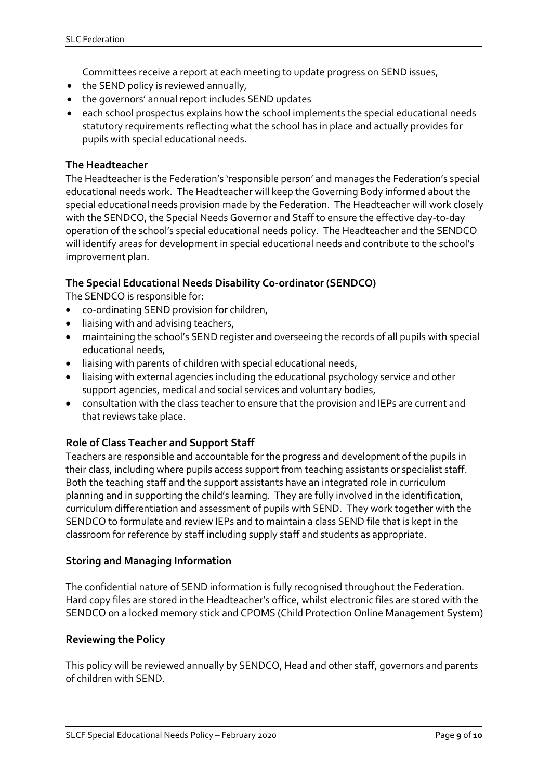Committees receive a report at each meeting to update progress on SEND issues,

- the SEND policy is reviewed annually,
- the governors' annual report includes SEND updates
- each school prospectus explains how the school implements the special educational needs statutory requirements reflecting what the school has in place and actually provides for pupils with special educational needs.

#### **The Headteacher**

The Headteacher is the Federation's 'responsible person' and manages the Federation's special educational needs work. The Headteacher will keep the Governing Body informed about the special educational needs provision made by the Federation. The Headteacher will work closely with the SENDCO, the Special Needs Governor and Staff to ensure the effective day-to-day operation of the school's special educational needs policy. The Headteacher and the SENDCO will identify areas for development in special educational needs and contribute to the school's improvement plan.

#### **The Special Educational Needs Disability Co-ordinator (SENDCO)**

The SENDCO is responsible for:

- co-ordinating SEND provision for children,
- liaising with and advising teachers,
- maintaining the school's SEND register and overseeing the records of all pupils with special educational needs,
- liaising with parents of children with special educational needs,
- liaising with external agencies including the educational psychology service and other support agencies, medical and social services and voluntary bodies,
- consultation with the class teacher to ensure that the provision and IEPs are current and that reviews take place.

## **Role of Class Teacher and Support Staff**

Teachers are responsible and accountable for the progress and development of the pupils in their class, including where pupils access support from teaching assistants or specialist staff. Both the teaching staff and the support assistants have an integrated role in curriculum planning and in supporting the child's learning. They are fully involved in the identification, curriculum differentiation and assessment of pupils with SEND. They work together with the SENDCO to formulate and review IEPs and to maintain a class SEND file that is kept in the classroom for reference by staff including supply staff and students as appropriate.

#### **Storing and Managing Information**

The confidential nature of SEND information is fully recognised throughout the Federation. Hard copy files are stored in the Headteacher's office, whilst electronic files are stored with the SENDCO on a locked memory stick and CPOMS (Child Protection Online Management System)

#### **Reviewing the Policy**

This policy will be reviewed annually by SENDCO, Head and other staff, governors and parents of children with SEND.